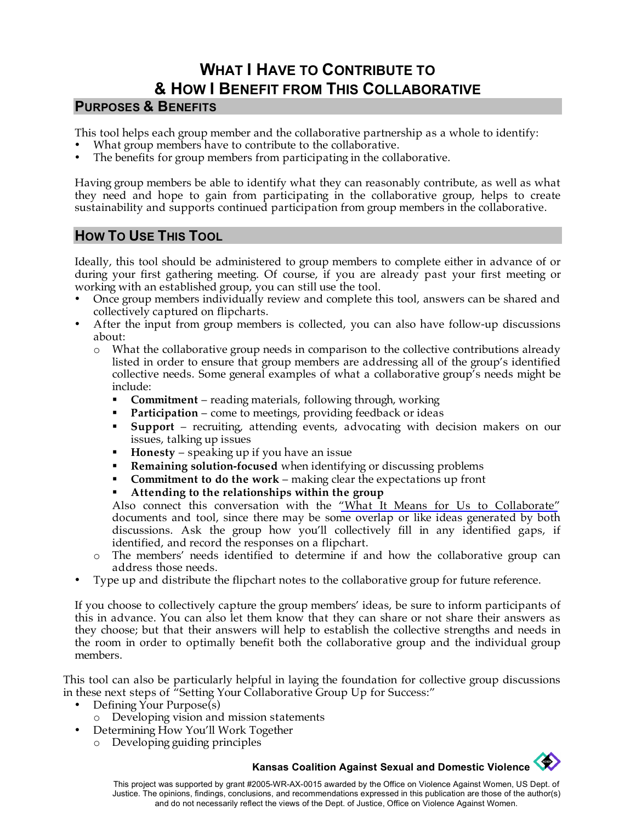# **WHAT I HAVE TO CONTRIBUTE TO & HOW I BENEFIT FROM THIS COLLABORATIVE**

### **PURPOSES & BENEFITS**

This tool helps each group member and the collaborative partnership as a whole to identify:

- What group members have to contribute to the collaborative.
- The benefits for group members from participating in the collaborative.

Having group members be able to identify what they can reasonably contribute, as well as what they need and hope to gain from participating in the collaborative group, helps to create sustainability and supports continued participation from group members in the collaborative.

# **HOW TO USE THIS TOOL**

Ideally, this tool should be administered to group members to complete either in advance of or during your first gathering meeting. Of course, if you are already past your first meeting or working with an established group, you can still use the tool.

- Once group members individually review and complete this tool, answers can be shared and collectively captured on flipcharts.
- After the input from group members is collected, you can also have follow-up discussions about:
	- o What the collaborative group needs in comparison to the collective contributions already listed in order to ensure that group members are addressing all of the group's identified collective needs. Some general examples of what a collaborative group's needs might be include:
		- **Commitment** reading materials, following through, working
		- **Participation** come to meetings, providing feedback or ideas
		- **Support**  recruiting, attending events, advocating with decision makers on our issues, talking up issues
		- **Honesty** speaking up if you have an issue
		- **Remaining solution-focused** when identifying or discussing problems
		- **Commitment to do the work** making clear the expectations up front
		- **Attending to the relationships within the group**

Also connect this conversation with the ["What It Means for Us to Collaborate"](http://www.kcsdv.org/toolkit/commorgtoolkit.html#Collaborate) documents and tool, since there may be some overlap or like ideas generated by both discussions. Ask the group how you'll collectively fill in any identified gaps, if identified, and record the responses on a flipchart.

- o The members' needs identified to determine if and how the collaborative group can address those needs.
- Type up and distribute the flipchart notes to the collaborative group for future reference.

If you choose to collectively capture the group members' ideas, be sure to inform participants of this in advance. You can also let them know that they can share or not share their answers as they choose; but that their answers will help to establish the collective strengths and needs in the room in order to optimally benefit both the collaborative group and the individual group members.

This tool can also be particularly helpful in laying the foundation for collective group discussions in these next steps of "Setting Your Collaborative Group Up for Success:"

- Defining Your Purpose(s)
	- o Developing vision and mission statements
	- Determining How You'll Work Together
		- o Developing guiding principles

### **Kansas Coalition Against Sexual and Domestic Violence**

This project was supported by grant #2005-WR-AX-0015 awarded by the Office on Violence Against Women, US Dept. of Justice. The opinions, findings, conclusions, and recommendations expressed in this publication are those of the author(s) and do not necessarily reflect the views of the Dept. of Justice, Office on Violence Against Women.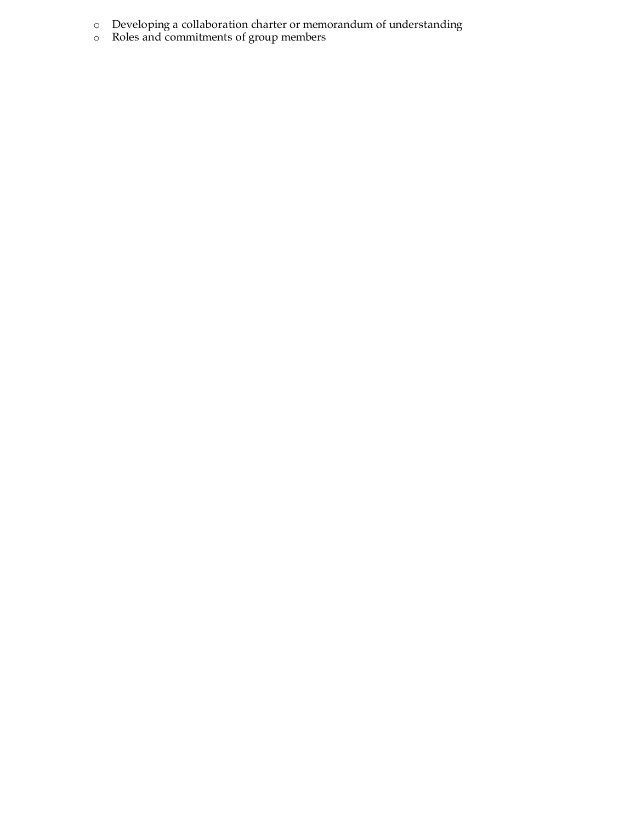- o Developing a collaboration charter or memorandum of understanding
- o Roles and commitments of group members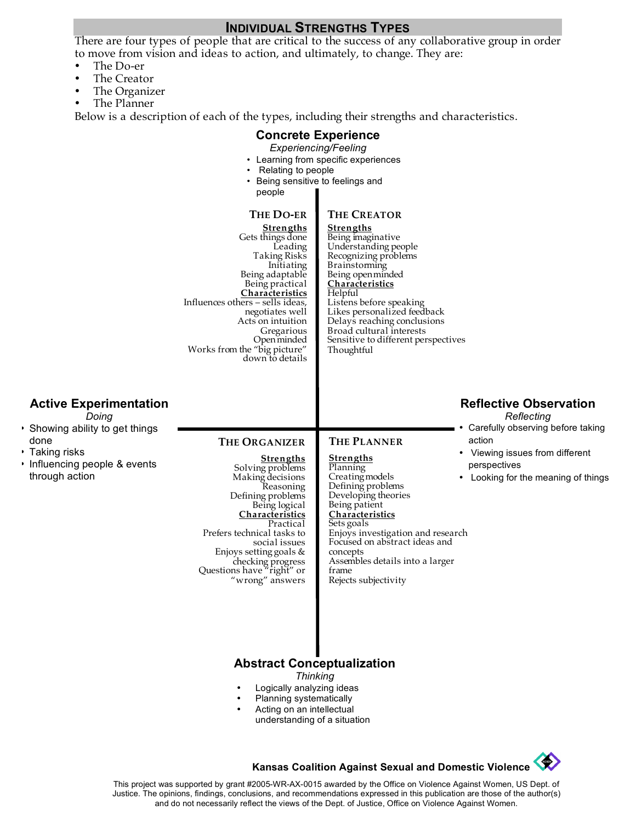### **INDIVIDUAL STRENGTHS TYPES**

There are four types of people that are critical to the success of any collaborative group in order to move from vision and ideas to action, and ultimately, to change. They are:

- The Do-er
- The Creator
- The Organizer
- The Planner

Below is a description of each of the types, including their strengths and characteristics.

## **Concrete Experience**

### *Experiencing/Feeling*

- Learning from specific experiences
- Relating to people
- Being sensitive to feelings and people

#### **THE CREATOR THE DO-ER**

**Strengths**

**Strengths** Gets things done Leading Taking Risks Initiating Being adaptable Being practical **Characteristics** Influences others – sells ideas, negotiates well Acts on intuition Gregarious Open minded Works from the "big picture" down to details

#### Being imaginative Understanding people Recognizing problems Brainstorming Being open minded **Characteristics** Helpful Listens before speaking Likes personalized feedback Delays reaching conclusions Broad cultural interests Sensitive to different perspectives Thoughtful

### **Active Experimentation**

*Doing*

- Showing ability to get things done
- Taking risks
- Influencing people & events through action

### **THE ORGANIZER**

**Strengths**

### **Strengths**

**THE PLANNER**

Solving problems Making decisions Reasoning Defining problems Being logical **Characteristics** Practical Prefers technical tasks to social issues Enjoys setting goals & checking progress Questions have "right" or "wrong" answers

Planning Creating models Defining problems Developing theories Being patient **Characteristics** Sets goals Enjoys investigation and research Focused on abstract ideas and concepts Assembles details into a larger frame Rejects subjectivity

## **Reflective Observation**

*Reflecting*

- Carefully observing before taking action
- Viewing issues from different perspectives
- Looking for the meaning of things

## **Abstract Conceptualization**

*Thinking*

- Logically analyzing ideas
- Planning systematically
- Acting on an intellectual understanding of a situation

## **Kansas Coalition Against Sexual and Domestic Violence**

This project was supported by grant #2005-WR-AX-0015 awarded by the Office on Violence Against Women, US Dept. of Justice. The opinions, findings, conclusions, and recommendations expressed in this publication are those of the author(s) and do not necessarily reflect the views of the Dept. of Justice, Office on Violence Against Women.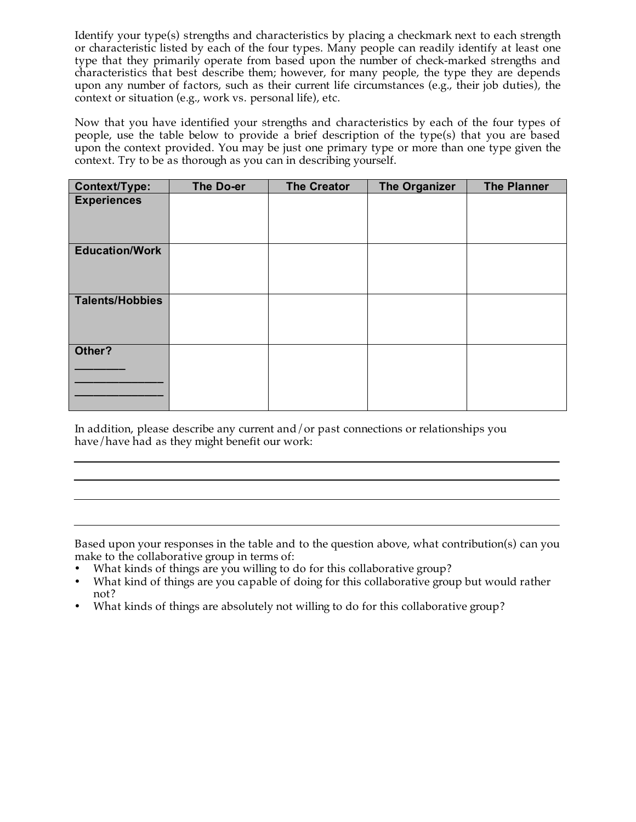Identify your type(s) strengths and characteristics by placing a checkmark next to each strength or characteristic listed by each of the four types. Many people can readily identify at least one type that they primarily operate from based upon the number of check-marked strengths and characteristics that best describe them; however, for many people, the type they are depends upon any number of factors, such as their current life circumstances (e.g., their job duties), the context or situation (e.g., work vs. personal life), etc.

Now that you have identified your strengths and characteristics by each of the four types of people, use the table below to provide a brief description of the type(s) that you are based upon the context provided. You may be just one primary type or more than one type given the context. Try to be as thorough as you can in describing yourself.

| Context/Type:          | The Do-er | <b>The Creator</b> | <b>The Organizer</b> | <b>The Planner</b> |
|------------------------|-----------|--------------------|----------------------|--------------------|
| <b>Experiences</b>     |           |                    |                      |                    |
| <b>Education/Work</b>  |           |                    |                      |                    |
| <b>Talents/Hobbies</b> |           |                    |                      |                    |
| Other?                 |           |                    |                      |                    |

In addition, please describe any current and/or past connections or relationships you have/have had as they might benefit our work:

Based upon your responses in the table and to the question above, what contribution(s) can you make to the collaborative group in terms of:

- What kinds of things are you willing to do for this collaborative group?
- What kind of things are you capable of doing for this collaborative group but would rather not?
- What kinds of things are absolutely not willing to do for this collaborative group?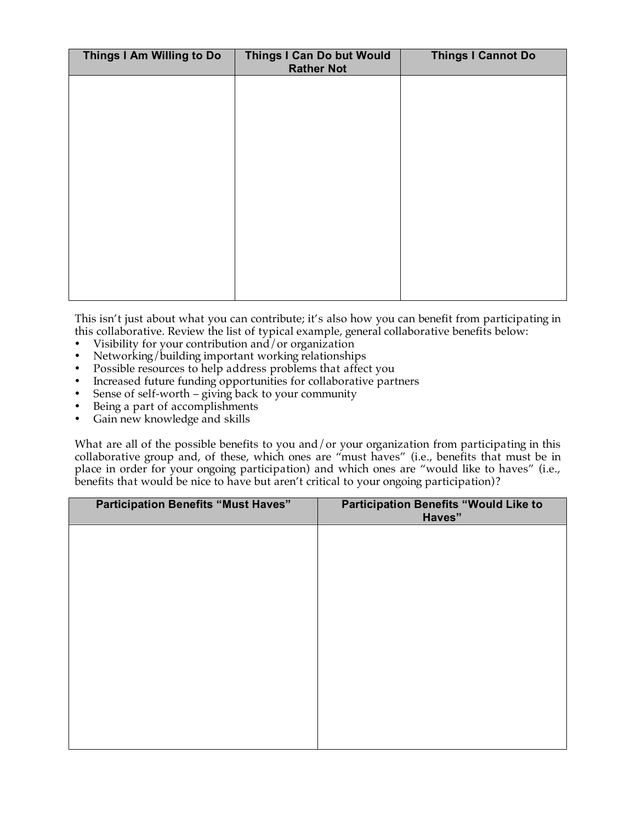| Things I Am Willing to Do | Things I Can Do but Would<br><b>Rather Not</b> | <b>Things I Cannot Do</b> |
|---------------------------|------------------------------------------------|---------------------------|
|                           |                                                |                           |
|                           |                                                |                           |
|                           |                                                |                           |
|                           |                                                |                           |
|                           |                                                |                           |
|                           |                                                |                           |
|                           |                                                |                           |
|                           |                                                |                           |

This isn't just about what you can contribute; it's also how you can benefit from participating in this collaborative. Review the list of typical example, general collaborative benefits below:

- Visibility for your contribution and/or organization<br>• Networking/building important working relationship
- Networking/building important working relationships<br>• Possible resources to belp address problems that affect
- Possible resources to help address problems that affect you
- Increased future funding opportunities for collaborative partners
- Sense of self-worth giving back to your community
- Being a part of accomplishments
- Gain new knowledge and skills

What are all of the possible benefits to you and/or your organization from participating in this collaborative group and, of these, which ones are "must haves" (i.e., benefits that must be in place in order for your ongoing participation) and which ones are "would like to haves" (i.e., benefits that would be nice to have but aren't critical to your ongoing participation)?

| <b>Participation Benefits "Must Haves"</b> | <b>Participation Benefits "Would Like to</b><br>Haves" |
|--------------------------------------------|--------------------------------------------------------|
|                                            |                                                        |
|                                            |                                                        |
|                                            |                                                        |
|                                            |                                                        |
|                                            |                                                        |
|                                            |                                                        |
|                                            |                                                        |
|                                            |                                                        |
|                                            |                                                        |